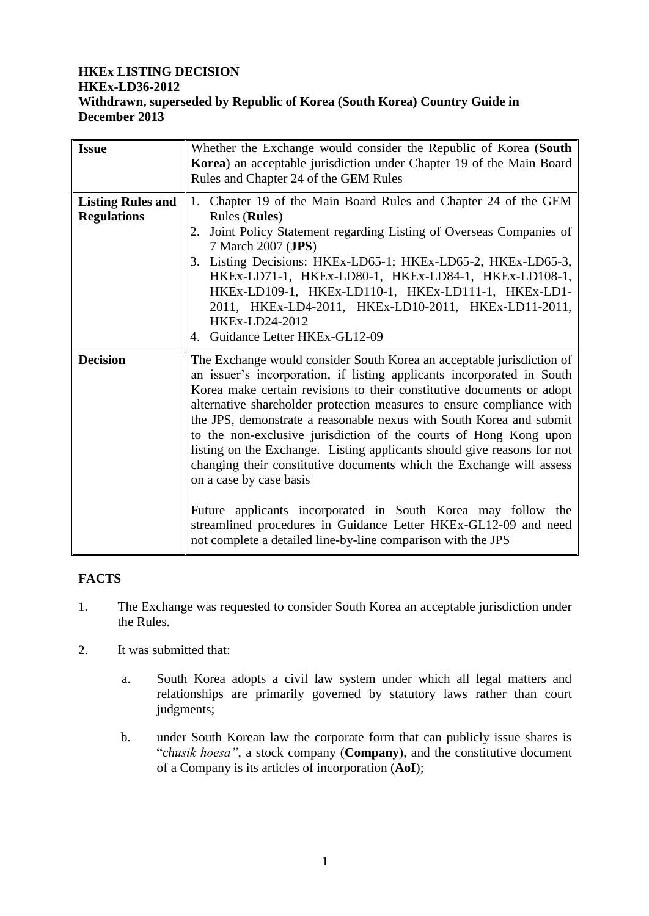# **HKEx LISTING DECISION HKEx-LD36-2012 Withdrawn, superseded by Republic of Korea (South Korea) Country Guide in December 2013**

| <b>Issue</b>                                   | Whether the Exchange would consider the Republic of Korea (South<br>Korea) an acceptable jurisdiction under Chapter 19 of the Main Board<br>Rules and Chapter 24 of the GEM Rules                                                                                                                                                                                                                                                                                                                                                                                                                                                                                                                                                                                                                                              |  |
|------------------------------------------------|--------------------------------------------------------------------------------------------------------------------------------------------------------------------------------------------------------------------------------------------------------------------------------------------------------------------------------------------------------------------------------------------------------------------------------------------------------------------------------------------------------------------------------------------------------------------------------------------------------------------------------------------------------------------------------------------------------------------------------------------------------------------------------------------------------------------------------|--|
| <b>Listing Rules and</b><br><b>Regulations</b> | Chapter 19 of the Main Board Rules and Chapter 24 of the GEM<br>1.<br><b>Rules</b> ( <b>Rules</b> )<br>Joint Policy Statement regarding Listing of Overseas Companies of<br>2.<br>7 March 2007 (JPS)<br>3. Listing Decisions: HKEx-LD65-1; HKEx-LD65-2, HKEx-LD65-3,<br>HKEx-LD71-1, HKEx-LD80-1, HKEx-LD84-1, HKEx-LD108-1,<br>HKEx-LD109-1, HKEx-LD110-1, HKEx-LD111-1, HKEx-LD1-<br>2011, HKEx-LD4-2011, HKEx-LD10-2011, HKEx-LD11-2011,<br>HKEx-LD24-2012<br>Guidance Letter HKEx-GL12-09<br>4.                                                                                                                                                                                                                                                                                                                            |  |
| <b>Decision</b>                                | The Exchange would consider South Korea an acceptable jurisdiction of<br>an issuer's incorporation, if listing applicants incorporated in South<br>Korea make certain revisions to their constitutive documents or adopt<br>alternative shareholder protection measures to ensure compliance with<br>the JPS, demonstrate a reasonable nexus with South Korea and submit<br>to the non-exclusive jurisdiction of the courts of Hong Kong upon<br>listing on the Exchange. Listing applicants should give reasons for not<br>changing their constitutive documents which the Exchange will assess<br>on a case by case basis<br>Future applicants incorporated in South Korea may follow the<br>streamlined procedures in Guidance Letter HKEx-GL12-09 and need<br>not complete a detailed line-by-line comparison with the JPS |  |

### **FACTS**

- 1. The Exchange was requested to consider South Korea an acceptable jurisdiction under the Rules.
- 2. It was submitted that:
	- a. South Korea adopts a civil law system under which all legal matters and relationships are primarily governed by statutory laws rather than court judgments;
	- b. under South Korean law the corporate form that can publicly issue shares is "*chusik hoesa"*, a stock company (**Company**), and the constitutive document of a Company is its articles of incorporation (**AoI**);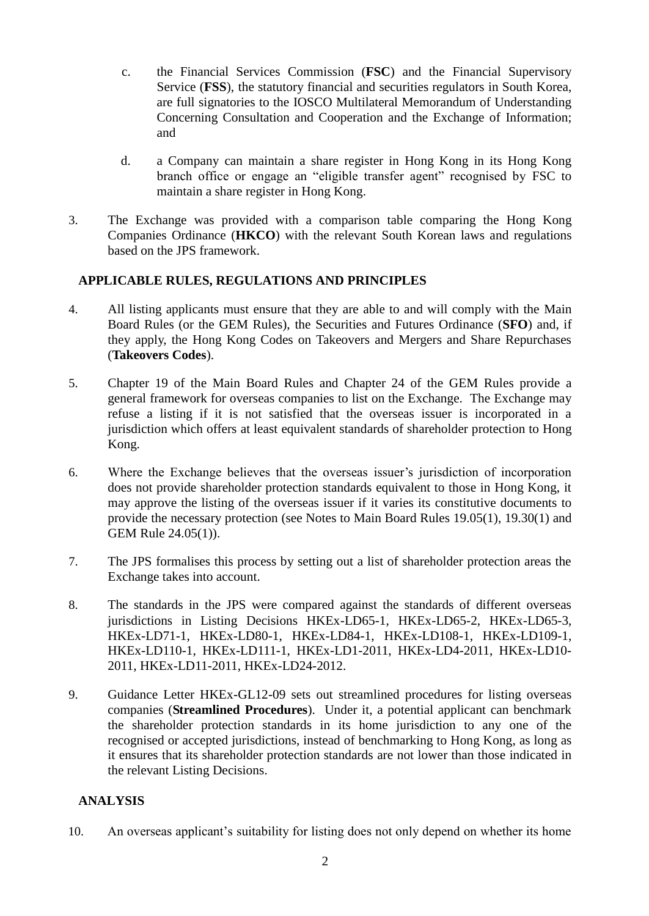- c. the Financial Services Commission (**FSC**) and the Financial Supervisory Service (**FSS**), the statutory financial and securities regulators in South Korea, are full signatories to the IOSCO Multilateral Memorandum of Understanding Concerning Consultation and Cooperation and the Exchange of Information; and
- d. a Company can maintain a share register in Hong Kong in its Hong Kong branch office or engage an "eligible transfer agent" recognised by FSC to maintain a share register in Hong Kong.
- 3. The Exchange was provided with a comparison table comparing the Hong Kong Companies Ordinance (**HKCO**) with the relevant South Korean laws and regulations based on the JPS framework.

### **APPLICABLE RULES, REGULATIONS AND PRINCIPLES**

- 4. All listing applicants must ensure that they are able to and will comply with the Main Board Rules (or the GEM Rules), the Securities and Futures Ordinance (**SFO**) and, if they apply, the Hong Kong Codes on Takeovers and Mergers and Share Repurchases (**Takeovers Codes**).
- 5. Chapter 19 of the Main Board Rules and Chapter 24 of the GEM Rules provide a general framework for overseas companies to list on the Exchange. The Exchange may refuse a listing if it is not satisfied that the overseas issuer is incorporated in a jurisdiction which offers at least equivalent standards of shareholder protection to Hong Kong.
- 6. Where the Exchange believes that the overseas issuer's jurisdiction of incorporation does not provide shareholder protection standards equivalent to those in Hong Kong, it may approve the listing of the overseas issuer if it varies its constitutive documents to provide the necessary protection (see Notes to Main Board Rules 19.05(1), 19.30(1) and GEM Rule 24.05(1)).
- 7. The JPS formalises this process by setting out a list of shareholder protection areas the Exchange takes into account.
- 8. The standards in the JPS were compared against the standards of different overseas jurisdictions in Listing Decisions HKEx-LD65-1, HKEx-LD65-2, HKEx-LD65-3, HKEx-LD71-1, HKEx-LD80-1, HKEx-LD84-1, HKEx-LD108-1, HKEx-LD109-1, HKEx-LD110-1, HKEx-LD111-1, HKEx-LD1-2011, HKEx-LD4-2011, HKEx-LD10- 2011, HKEx-LD11-2011, HKEx-LD24-2012.
- 9. Guidance Letter HKEx-GL12-09 sets out streamlined procedures for listing overseas companies (**Streamlined Procedures**). Under it, a potential applicant can benchmark the shareholder protection standards in its home jurisdiction to any one of the recognised or accepted jurisdictions, instead of benchmarking to Hong Kong, as long as it ensures that its shareholder protection standards are not lower than those indicated in the relevant Listing Decisions.

### **ANALYSIS**

10. An overseas applicant's suitability for listing does not only depend on whether its home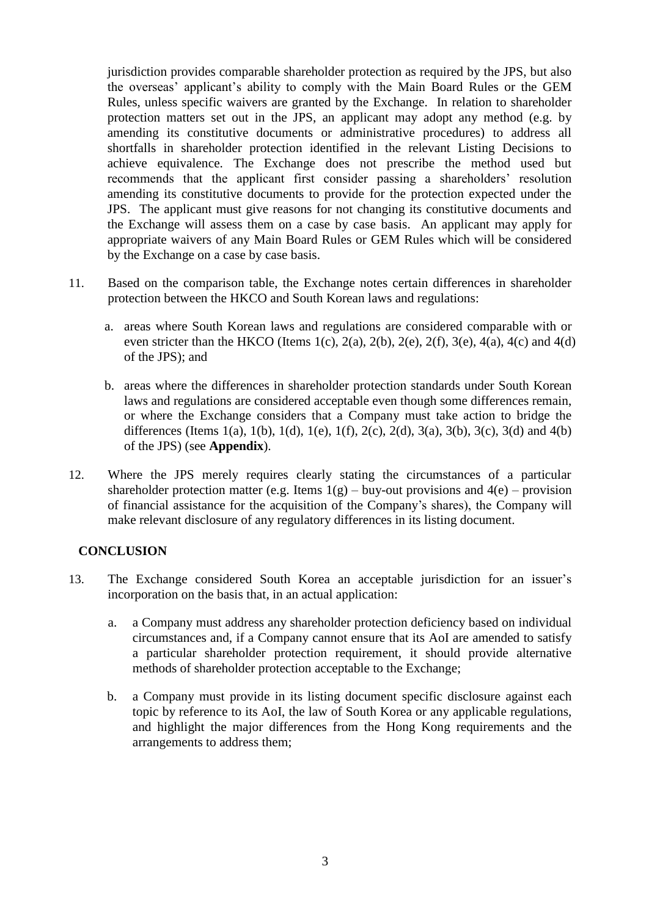jurisdiction provides comparable shareholder protection as required by the JPS, but also the overseas' applicant's ability to comply with the Main Board Rules or the GEM Rules, unless specific waivers are granted by the Exchange. In relation to shareholder protection matters set out in the JPS, an applicant may adopt any method (e.g. by amending its constitutive documents or administrative procedures) to address all shortfalls in shareholder protection identified in the relevant Listing Decisions to achieve equivalence. The Exchange does not prescribe the method used but recommends that the applicant first consider passing a shareholders' resolution amending its constitutive documents to provide for the protection expected under the JPS. The applicant must give reasons for not changing its constitutive documents and the Exchange will assess them on a case by case basis. An applicant may apply for appropriate waivers of any Main Board Rules or GEM Rules which will be considered by the Exchange on a case by case basis.

- 11. Based on the comparison table, the Exchange notes certain differences in shareholder protection between the HKCO and South Korean laws and regulations:
	- a. areas where South Korean laws and regulations are considered comparable with or even stricter than the HKCO (Items 1(c), 2(a), 2(b), 2(e), 2(f), 3(e), 4(a), 4(c) and 4(d) of the JPS); and
	- b. areas where the differences in shareholder protection standards under South Korean laws and regulations are considered acceptable even though some differences remain, or where the Exchange considers that a Company must take action to bridge the differences (Items 1(a), 1(b), 1(d), 1(e), 1(f), 2(c), 2(d), 3(a), 3(b), 3(c), 3(d) and 4(b) of the JPS) (see **Appendix**).
- 12. Where the JPS merely requires clearly stating the circumstances of a particular shareholder protection matter (e.g. Items  $1(g)$  – buy-out provisions and  $4(e)$  – provision of financial assistance for the acquisition of the Company's shares), the Company will make relevant disclosure of any regulatory differences in its listing document.

### **CONCLUSION**

- 13. The Exchange considered South Korea an acceptable jurisdiction for an issuer's incorporation on the basis that, in an actual application:
	- a. a Company must address any shareholder protection deficiency based on individual circumstances and, if a Company cannot ensure that its AoI are amended to satisfy a particular shareholder protection requirement, it should provide alternative methods of shareholder protection acceptable to the Exchange;
	- b. a Company must provide in its listing document specific disclosure against each topic by reference to its AoI, the law of South Korea or any applicable regulations, and highlight the major differences from the Hong Kong requirements and the arrangements to address them;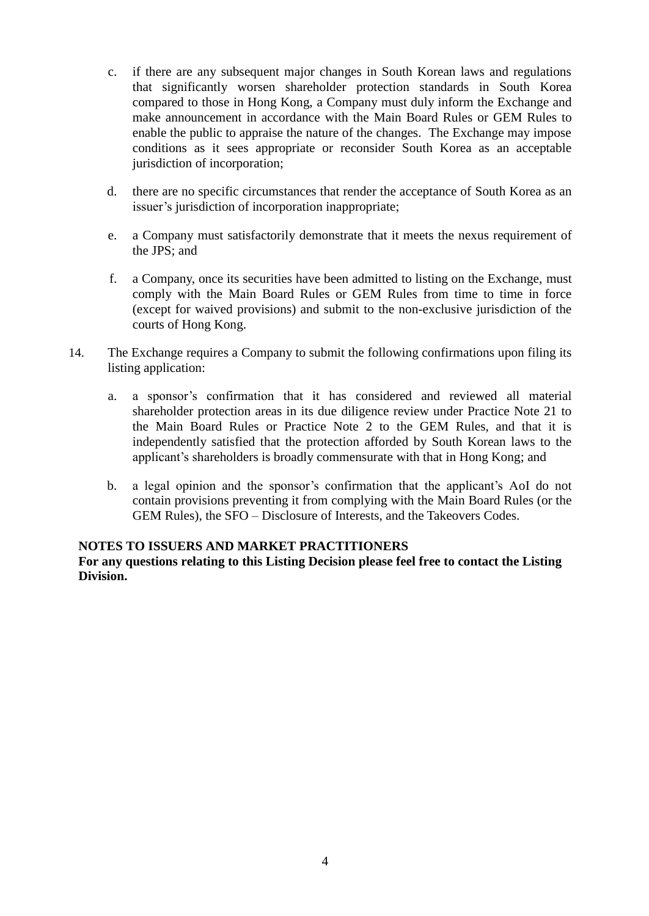- c. if there are any subsequent major changes in South Korean laws and regulations that significantly worsen shareholder protection standards in South Korea compared to those in Hong Kong, a Company must duly inform the Exchange and make announcement in accordance with the Main Board Rules or GEM Rules to enable the public to appraise the nature of the changes. The Exchange may impose conditions as it sees appropriate or reconsider South Korea as an acceptable jurisdiction of incorporation;
- d. there are no specific circumstances that render the acceptance of South Korea as an issuer's jurisdiction of incorporation inappropriate;
- e. a Company must satisfactorily demonstrate that it meets the nexus requirement of the JPS; and
- f. a Company, once its securities have been admitted to listing on the Exchange, must comply with the Main Board Rules or GEM Rules from time to time in force (except for waived provisions) and submit to the non-exclusive jurisdiction of the courts of Hong Kong.
- 14. The Exchange requires a Company to submit the following confirmations upon filing its listing application:
	- a. a sponsor's confirmation that it has considered and reviewed all material shareholder protection areas in its due diligence review under Practice Note 21 to the Main Board Rules or Practice Note 2 to the GEM Rules, and that it is independently satisfied that the protection afforded by South Korean laws to the applicant's shareholders is broadly commensurate with that in Hong Kong; and
	- b. a legal opinion and the sponsor's confirmation that the applicant's AoI do not contain provisions preventing it from complying with the Main Board Rules (or the GEM Rules), the SFO – Disclosure of Interests, and the Takeovers Codes.

#### **NOTES TO ISSUERS AND MARKET PRACTITIONERS**

**For any questions relating to this Listing Decision please feel free to contact the Listing Division.**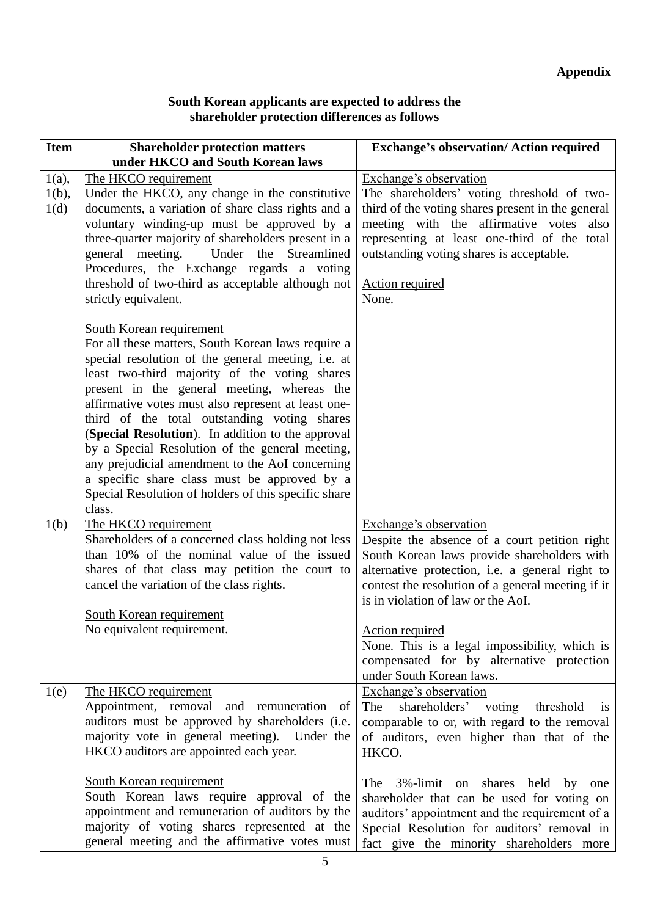# **South Korean applicants are expected to address the shareholder protection differences as follows**

| <b>Item</b>                  | <b>Shareholder protection matters</b>                                                                                                                                                                                                                                                                                                                                                                                                                                                                                                                                                                                    | <b>Exchange's observation/ Action required</b>                                                                                                                                                                                                                                                                                                                                                                           |
|------------------------------|--------------------------------------------------------------------------------------------------------------------------------------------------------------------------------------------------------------------------------------------------------------------------------------------------------------------------------------------------------------------------------------------------------------------------------------------------------------------------------------------------------------------------------------------------------------------------------------------------------------------------|--------------------------------------------------------------------------------------------------------------------------------------------------------------------------------------------------------------------------------------------------------------------------------------------------------------------------------------------------------------------------------------------------------------------------|
|                              | under HKCO and South Korean laws                                                                                                                                                                                                                                                                                                                                                                                                                                                                                                                                                                                         |                                                                                                                                                                                                                                                                                                                                                                                                                          |
| $1(a)$ ,<br>$1(b)$ ,<br>1(d) | The HKCO requirement<br>Under the HKCO, any change in the constitutive<br>documents, a variation of share class rights and a<br>voluntary winding-up must be approved by a<br>three-quarter majority of shareholders present in a<br>general meeting.<br>Under the Streamlined<br>Procedures, the Exchange regards a voting<br>threshold of two-third as acceptable although not<br>strictly equivalent.                                                                                                                                                                                                                 | Exchange's observation<br>The shareholders' voting threshold of two-<br>third of the voting shares present in the general<br>meeting with the affirmative votes also<br>representing at least one-third of the total<br>outstanding voting shares is acceptable.<br>Action required<br>None.                                                                                                                             |
|                              | South Korean requirement<br>For all these matters, South Korean laws require a<br>special resolution of the general meeting, i.e. at<br>least two-third majority of the voting shares<br>present in the general meeting, whereas the<br>affirmative votes must also represent at least one-<br>third of the total outstanding voting shares<br>(Special Resolution). In addition to the approval<br>by a Special Resolution of the general meeting,<br>any prejudicial amendment to the AoI concerning<br>a specific share class must be approved by a<br>Special Resolution of holders of this specific share<br>class. |                                                                                                                                                                                                                                                                                                                                                                                                                          |
| 1(b)                         | The HKCO requirement<br>Shareholders of a concerned class holding not less<br>than 10% of the nominal value of the issued<br>shares of that class may petition the court to<br>cancel the variation of the class rights.<br>South Korean requirement<br>No equivalent requirement.                                                                                                                                                                                                                                                                                                                                       | Exchange's observation<br>Despite the absence of a court petition right<br>South Korean laws provide shareholders with<br>alternative protection, i.e. a general right to<br>contest the resolution of a general meeting if it<br>is in violation of law or the AoI.<br><b>Action required</b><br>None. This is a legal impossibility, which is<br>compensated for by alternative protection<br>under South Korean laws. |
| 1(e)                         | The HKCO requirement<br>Appointment, removal and<br>remuneration<br>- of<br>auditors must be approved by shareholders (i.e.<br>majority vote in general meeting). Under the<br>HKCO auditors are appointed each year.<br>South Korean requirement<br>South Korean laws require approval of the<br>appointment and remuneration of auditors by the<br>majority of voting shares represented at the<br>general meeting and the affirmative votes must                                                                                                                                                                      | Exchange's observation<br>shareholders' voting threshold<br>The<br>1S<br>comparable to or, with regard to the removal<br>of auditors, even higher than that of the<br>HKCO.<br>The 3%-limit on shares held by<br>one<br>shareholder that can be used for voting on<br>auditors' appointment and the requirement of a<br>Special Resolution for auditors' removal in<br>fact give the minority shareholders more          |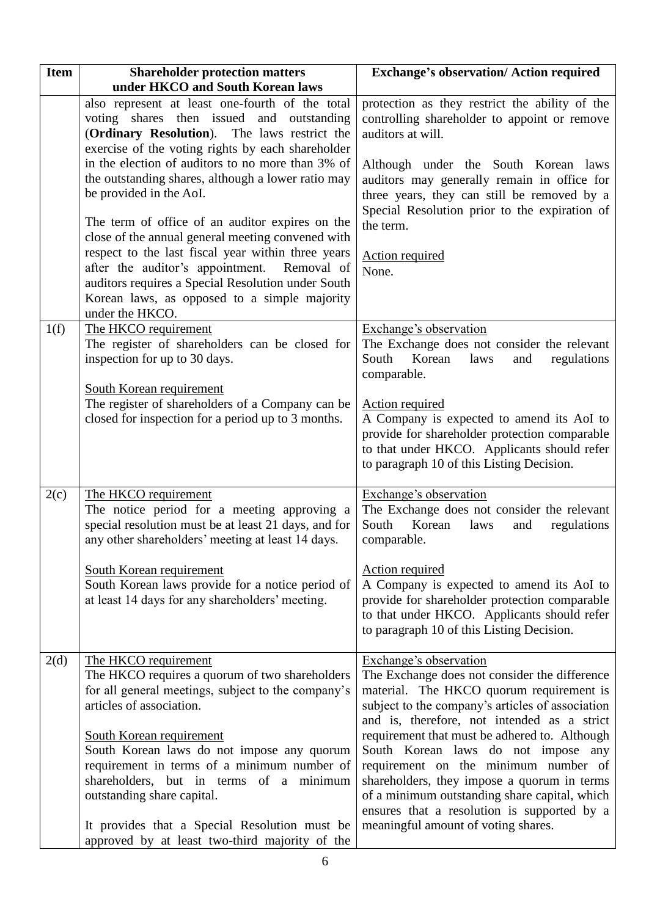| <b>Item</b> | <b>Shareholder protection matters</b><br>under HKCO and South Korean laws                                                                                                                                                                                                                                                                                                                                                                                                                                                                                                                                                                                                        | <b>Exchange's observation/ Action required</b>                                                                                                                                                                                                                                                                                                                                                                                                                                                                                               |
|-------------|----------------------------------------------------------------------------------------------------------------------------------------------------------------------------------------------------------------------------------------------------------------------------------------------------------------------------------------------------------------------------------------------------------------------------------------------------------------------------------------------------------------------------------------------------------------------------------------------------------------------------------------------------------------------------------|----------------------------------------------------------------------------------------------------------------------------------------------------------------------------------------------------------------------------------------------------------------------------------------------------------------------------------------------------------------------------------------------------------------------------------------------------------------------------------------------------------------------------------------------|
|             | also represent at least one-fourth of the total<br>voting shares then issued and outstanding<br>(Ordinary Resolution). The laws restrict the<br>exercise of the voting rights by each shareholder<br>in the election of auditors to no more than 3% of<br>the outstanding shares, although a lower ratio may<br>be provided in the AoI.<br>The term of office of an auditor expires on the<br>close of the annual general meeting convened with<br>respect to the last fiscal year within three years<br>after the auditor's appointment.<br>Removal of<br>auditors requires a Special Resolution under South<br>Korean laws, as opposed to a simple majority<br>under the HKCO. | protection as they restrict the ability of the<br>controlling shareholder to appoint or remove<br>auditors at will.<br>Although under the South Korean laws<br>auditors may generally remain in office for<br>three years, they can still be removed by a<br>Special Resolution prior to the expiration of<br>the term.<br><b>Action required</b><br>None.                                                                                                                                                                                   |
| 1(f)        | The HKCO requirement<br>The register of shareholders can be closed for<br>inspection for up to 30 days.<br><b>South Korean requirement</b><br>The register of shareholders of a Company can be<br>closed for inspection for a period up to 3 months.                                                                                                                                                                                                                                                                                                                                                                                                                             | Exchange's observation<br>The Exchange does not consider the relevant<br>South<br>Korean<br>laws<br>and<br>regulations<br>comparable.<br><b>Action required</b><br>A Company is expected to amend its AoI to<br>provide for shareholder protection comparable<br>to that under HKCO. Applicants should refer<br>to paragraph 10 of this Listing Decision.                                                                                                                                                                                    |
| 2(c)        | The HKCO requirement<br>The notice period for a meeting approving a<br>special resolution must be at least 21 days, and for<br>any other shareholders' meeting at least 14 days.<br>South Korean requirement<br>South Korean laws provide for a notice period of<br>at least 14 days for any shareholders' meeting.                                                                                                                                                                                                                                                                                                                                                              | Exchange's observation<br>The Exchange does not consider the relevant<br>South<br>Korean<br>laws<br>and<br>regulations<br>comparable.<br><b>Action required</b><br>A Company is expected to amend its AoI to<br>provide for shareholder protection comparable<br>to that under HKCO. Applicants should refer<br>to paragraph 10 of this Listing Decision.                                                                                                                                                                                    |
| 2(d)        | The HKCO requirement<br>The HKCO requires a quorum of two shareholders<br>for all general meetings, subject to the company's<br>articles of association.<br>South Korean requirement<br>South Korean laws do not impose any quorum<br>requirement in terms of a minimum number of<br>shareholders, but in terms of a minimum<br>outstanding share capital.<br>It provides that a Special Resolution must be<br>approved by at least two-third majority of the                                                                                                                                                                                                                    | Exchange's observation<br>The Exchange does not consider the difference<br>material. The HKCO quorum requirement is<br>subject to the company's articles of association<br>and is, therefore, not intended as a strict<br>requirement that must be adhered to. Although<br>South Korean laws do not impose any<br>requirement on the minimum number of<br>shareholders, they impose a quorum in terms<br>of a minimum outstanding share capital, which<br>ensures that a resolution is supported by a<br>meaningful amount of voting shares. |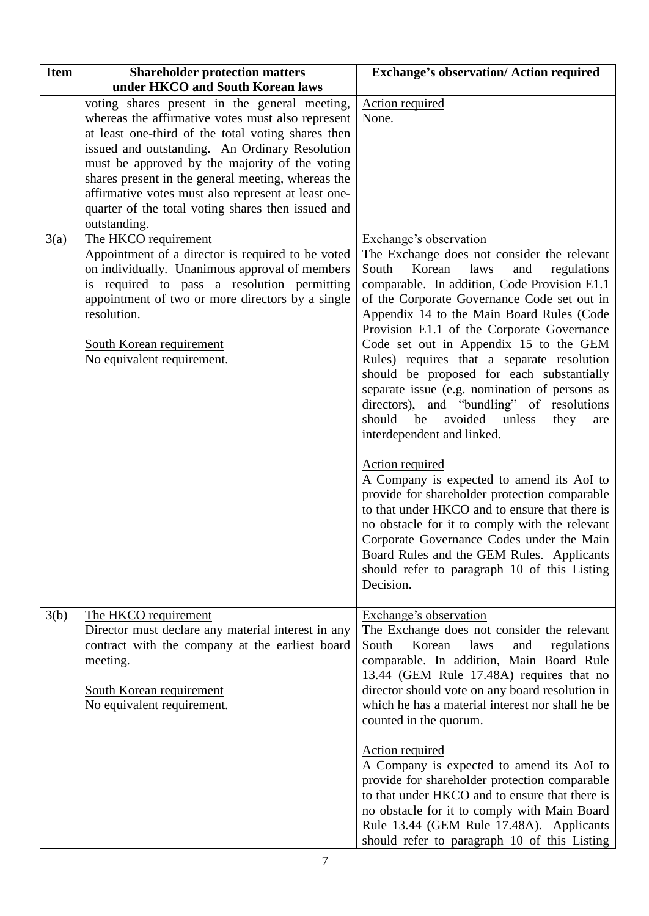| <b>Item</b> | <b>Shareholder protection matters</b><br>under HKCO and South Korean laws                                                                                                                                                                                                                                                                                                                                                                       | <b>Exchange's observation/ Action required</b>                                                                                                                                                                                                                                                                                                                                                                                                                                                                                                                                                                                                                                                                                                                                                                                                                                                                                                              |
|-------------|-------------------------------------------------------------------------------------------------------------------------------------------------------------------------------------------------------------------------------------------------------------------------------------------------------------------------------------------------------------------------------------------------------------------------------------------------|-------------------------------------------------------------------------------------------------------------------------------------------------------------------------------------------------------------------------------------------------------------------------------------------------------------------------------------------------------------------------------------------------------------------------------------------------------------------------------------------------------------------------------------------------------------------------------------------------------------------------------------------------------------------------------------------------------------------------------------------------------------------------------------------------------------------------------------------------------------------------------------------------------------------------------------------------------------|
|             | voting shares present in the general meeting,<br>whereas the affirmative votes must also represent<br>at least one-third of the total voting shares then<br>issued and outstanding. An Ordinary Resolution<br>must be approved by the majority of the voting<br>shares present in the general meeting, whereas the<br>affirmative votes must also represent at least one-<br>quarter of the total voting shares then issued and<br>outstanding. | <b>Action required</b><br>None.                                                                                                                                                                                                                                                                                                                                                                                                                                                                                                                                                                                                                                                                                                                                                                                                                                                                                                                             |
| 3(a)        | The HKCO requirement<br>Appointment of a director is required to be voted<br>on individually. Unanimous approval of members<br>required to pass a resolution permitting<br>is.<br>appointment of two or more directors by a single<br>resolution.<br><b>South Korean requirement</b><br>No equivalent requirement.                                                                                                                              | Exchange's observation<br>The Exchange does not consider the relevant<br>South<br>Korean<br>laws<br>and<br>regulations<br>comparable. In addition, Code Provision E1.1<br>of the Corporate Governance Code set out in<br>Appendix 14 to the Main Board Rules (Code<br>Provision E1.1 of the Corporate Governance<br>Code set out in Appendix 15 to the GEM<br>Rules) requires that a separate resolution<br>should be proposed for each substantially<br>separate issue (e.g. nomination of persons as<br>directors), and "bundling" of resolutions<br>should<br>be<br>avoided<br>unless<br>they<br>are<br>interdependent and linked.<br><b>Action required</b><br>A Company is expected to amend its AoI to<br>provide for shareholder protection comparable<br>to that under HKCO and to ensure that there is<br>no obstacle for it to comply with the relevant<br>Corporate Governance Codes under the Main<br>Board Rules and the GEM Rules. Applicants |
|             |                                                                                                                                                                                                                                                                                                                                                                                                                                                 | should refer to paragraph 10 of this Listing<br>Decision.                                                                                                                                                                                                                                                                                                                                                                                                                                                                                                                                                                                                                                                                                                                                                                                                                                                                                                   |
| 3(b)        | The HKCO requirement<br>Director must declare any material interest in any<br>contract with the company at the earliest board<br>meeting.<br><b>South Korean requirement</b><br>No equivalent requirement.                                                                                                                                                                                                                                      | Exchange's observation<br>The Exchange does not consider the relevant<br>South<br>Korean<br>laws<br>and<br>regulations<br>comparable. In addition, Main Board Rule<br>13.44 (GEM Rule 17.48A) requires that no<br>director should vote on any board resolution in<br>which he has a material interest nor shall he be<br>counted in the quorum.                                                                                                                                                                                                                                                                                                                                                                                                                                                                                                                                                                                                             |
|             |                                                                                                                                                                                                                                                                                                                                                                                                                                                 | <b>Action required</b><br>A Company is expected to amend its AoI to<br>provide for shareholder protection comparable<br>to that under HKCO and to ensure that there is<br>no obstacle for it to comply with Main Board<br>Rule 13.44 (GEM Rule 17.48A). Applicants<br>should refer to paragraph 10 of this Listing                                                                                                                                                                                                                                                                                                                                                                                                                                                                                                                                                                                                                                          |